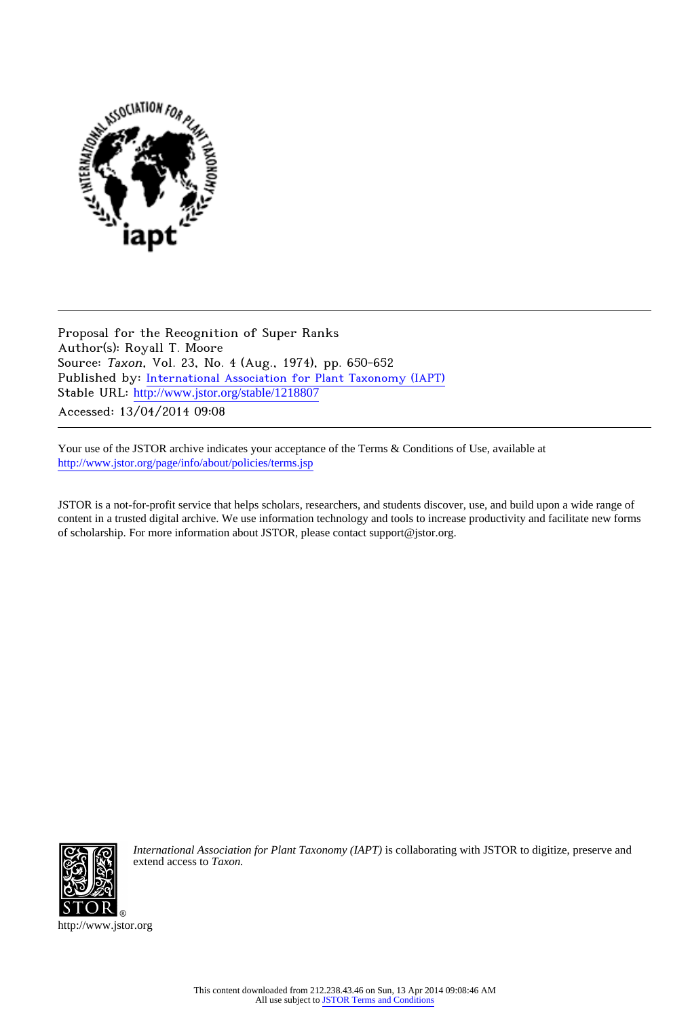

Proposal for the Recognition of Super Ranks Author(s): Royall T. Moore Source: Taxon, Vol. 23, No. 4 (Aug., 1974), pp. 650-652 Published by: [International Association for Plant Taxonomy \(IAPT\)](http://www.jstor.org/action/showPublisher?publisherCode=iapt) Stable URL: [http://www.jstor.org/stable/1218807](http://www.jstor.org/stable/1218807?origin=JSTOR-pdf) Accessed: 13/04/2014 09:08

Your use of the JSTOR archive indicates your acceptance of the Terms & Conditions of Use, available at <http://www.jstor.org/page/info/about/policies/terms.jsp>

JSTOR is a not-for-profit service that helps scholars, researchers, and students discover, use, and build upon a wide range of content in a trusted digital archive. We use information technology and tools to increase productivity and facilitate new forms of scholarship. For more information about JSTOR, please contact support@jstor.org.



*International Association for Plant Taxonomy (IAPT)* is collaborating with JSTOR to digitize, preserve and extend access to *Taxon.*

http://www.jstor.org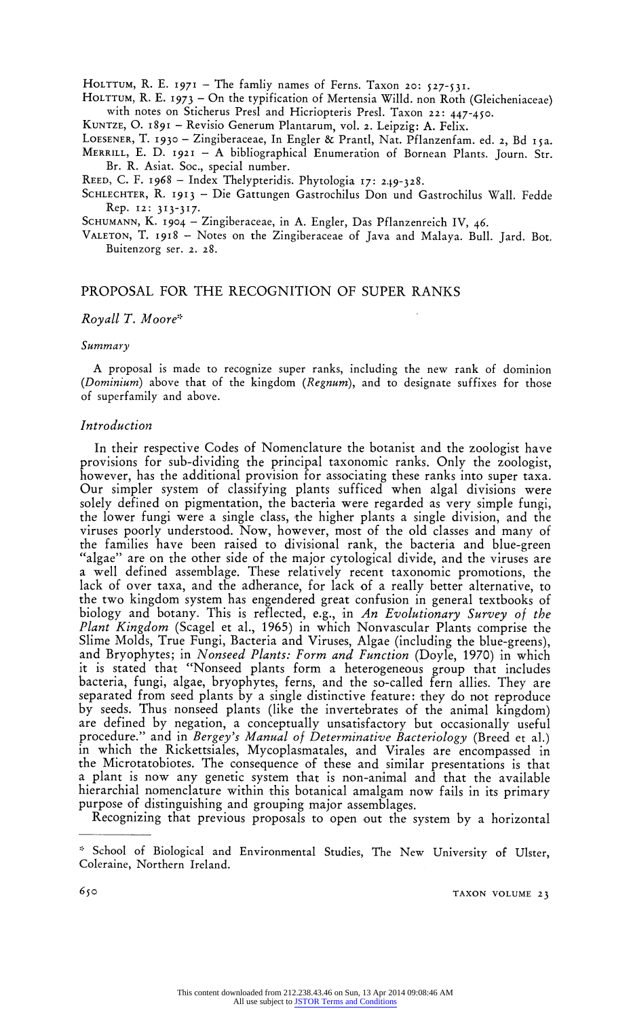**HOLTTUM, R. E. 1971 - The famliy names of Ferns. Taxon 20: 527-531.** 

**HOLTTUM, R. E. 1973 - On the typification of Mertensia Willd. non Roth (Gleicheniaceae) with notes on Sticherus Presl and Hicriopteris Presl. Taxon 22: 447-450.** 

**KUNTZE, O. I891 - Revisio Generum Plantarum, vol. 2. Leipzig: A. Felix.** 

**LOESENER, T. I930 - Zingiberaceae, In Engler & Prantl, Nat. Pflanzenfam. ed. 2, Bd I5a. MERRILL, E. D. 1921 - A bibliographical Enumeration of Bornean Plants. Journ. Str. Br. R. Asiat. Soc., special number.** 

**REED, C. F. 1968 - Index Thelypteridis. Phytologia 17: 249-328.** 

**SCHLECHTER, R. I9I3 - Die Gattungen Gastrochilus Don und Gastrochilus Wall. Fedde Rep. I2: 3I3-3I7.** 

**SCHUMANN, K. 1904 - Zingiberaceae, in A. Engler, Das Pflanzenreich IV, 46.** 

**VALETON, T. 1918 - Notes on the Zingiberaceae of Java and Malaya. Bull. Jard. Bot. Buitenzorg ser. 2. 28.** 

## **PROPOSAL FOR THE RECOGNITION OF SUPER RANKS**

# **Royall T. Moore''**

#### **Summary**

**A proposal is made to recognize super ranks, including the new rank of dominion (Dominium) above that of the kingdom (Regnum), and to designate suffixes for those of superfamily and above.** 

## **Introduction**

**In their respective Codes of Nomenclature the botanist and the zoologist have provisions for sub-dividing the principal taxonomic ranks. Only the zoologist, however, has the additional provision for associating these ranks into super taxa. Our simpler system of classifying plants sufficed when algal divisions were solely defined on pigmentation, the bacteria were regarded as very simple fungi, the lower fungi were a single class, the higher plants a single division, and the viruses poorly understood. Now, however, most of the old classes and many of the families have been raised to divisional rank, the bacteria and blue-green "algae" are on the other side of the major cytological divide, and the viruses are a well defined assemblage. These relatively recent taxonomic promotions, the lack of over taxa, and the adherance, for lack of a really better alternative, to the two kingdom system has engendered great confusion in general textbooks of biology and botany. This is reflected, e.g., in An Evolutionary Survey of the Plant Kingdom (Scagel et al., 1965) in which Nonvascular Plants comprise the Slime Molds, True Fungi, Bacteria and Viruses, Algae (including the blue-greens), and Bryophytes; in Nonseed Plants: Form and Function (Doyle, 1970) in which it is stated that "Nonseed plants form a heterogeneous group that includes bacteria, fungi, algae, bryophytes, ferns, and the so-called fern allies. They are separated from seed plants by a single distinctive feature: they do not reproduce by seeds. Thus nonseed plants (like the invertebrates of the animal kingdom) are defined by negation, a conceptually unsatisfactory but occasionally useful procedure." and in Bergey's Manual of Determinative Bacteriology (Breed et al.) in which the Rickettsiales, Mycoplasmatales, and Virales are encompassed in the Microtatobiotes. The consequence of these and similar presentations is that a plant is now any genetic system that is non-aniimal and that the available hierarchial nomenclature within this botanical amalgam now fails in its primary purpose of distinguishing and grouping major assemblages.** 

**Recognizing that previous proposals to open out the system by a horizontal** 

**65o TAXON VOLUME 23** 

**<sup>-</sup> School of Biological and Environmental Studies, The New University of Ulster, Coleraine, Northern Ireland.**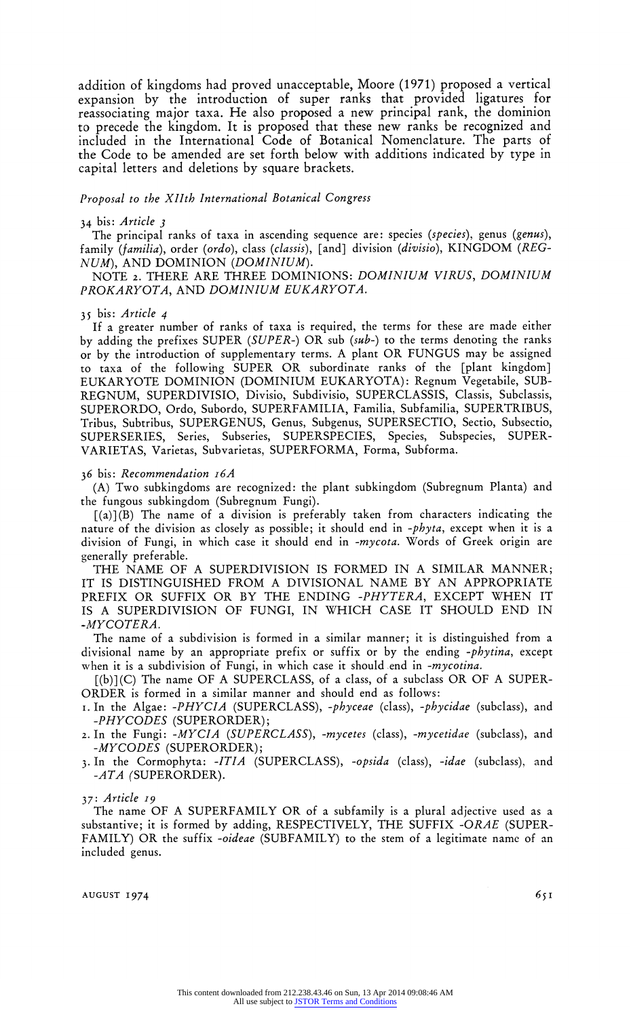**addition of kingdoms had proved unacceptable, Moore (1971) proposed a vertical expansion by the introduction of super ranks that provided ligatures for reassociating major taxa. He also proposed a new principal rank, the dominion to precede the kingdom. It is proposed that these new ranks be recognized and included in the International Code of Botanical Nomenclature. The parts of the Code to be amended are set forth below with additions indicated by type in capital letters and deletions by square brackets.** 

### **Proposal to the XIIth International Botanical Congress**

### **34 bis: Article 3**

**The principal ranks of taxa in ascending sequence are: species (species), genus (genus), family (familia), order (ordo), class (classis), [and] division (divisio), KINGDOM (REG-NUM), AND DOMINION (DOMINIUM).** 

**NOTE 2. THERE ARE THREE DOMINIONS: DOMINIUM VIRUS, DOMINIUM PROKARYOTA, AND DOMINIUM EUKARYOTA.** 

#### **35 bis: Article 4**

**If a greater number of ranks of taxa is required, the terms for these are made either by adding the prefixes SUPER (SUPER-) OR sub (sub-) to the terms denoting the ranks or by the introduction of supplementary terms. A plant OR FUNGUS may be assigned to taxa of the following SUPER OR subordinate ranks of the [plant kingdom] EUKARYOTE DOMINION (DOMINIUM EUKARYOTA): Regnum Vegetabile, SUB-REGNUM, SUPERDIVISIO, Divisio, Subdivisio, SUPERCLASSIS, Classis, Subclassis, SUPERORDO, Ordo, Subordo, SUPERFAMILIA, Familia, Subfamilia, SUPERTRIBUS, Tribus, Subtribus, SUPERGENUS, Genus, Subgenus, SUPERSECTIO, Sectio, Subsectio, SUPERSERIES, Series, Subseries, SUPERSPECIES, Species, Subspecies, SUPER-VARIETAS, Varietas, Subvarietas, SUPERFORMA, Forma, Subforma.** 

#### **36 bis: Recommendation i6A**

**(A) Two subkingdoms are recognized: the plant subkingdom (Subregnum Planta) and the fungous subkingdom (Subregnum Fungi).** 

**[(a)](B) The name of a division is preferably taken from characters indicating the nature of the division as closely as possible; it should end in -phyta, except when it is a division of Fungi, in which case it should end in -mycota. Words of Greek origin are generally preferable.** 

**THE NAME OF A SUPERDIVISION IS FORMED IN A SIMILAR MANNER; IT IS DISTINGUISHED FROM A DIVISIONAL NAME BY AN APPROPRIATE PREFIX OR SUFFIX OR BY THE ENDING -PHYTERA, EXCEPT WHEN IT IS A SUPERDIVISION OF FUNGI, IN WHICH CASE IT SHOULD END IN -MYCOTERA.** 

**The name of a subdivision is formed in a similar manner; it is distinguished from a divisional name by an appropriate prefix or suffix or by the ending -phytina, except when it is a subdivision of Fungi, in which case it should end in -mycotina.** 

**[(b)](C) The name OF A SUPERCLASS, of a class, of a subclass OR OF A SUPER-ORDER is formed in a similar manner and should end as follows:** 

- **i. In the Algae: -PHYCIA (SUPERCLASS), -phyceae (class), -phycidae (subclass), and -PHYCODES (SUPERORDER);**
- **2. In the Fungi: -MYCIA (SUPERCLASS), -mycetes (class), -mycetidae (subclass), and -MYCODES (SUPERORDER);**

**3. In the Cormophyta: -ITIA (SUPERCLASS), -opsida (class), -idae (subclass), and -ATA (SUPERORDER).** 

### **37: Article 19**

**The name OF A SUPERFAMILY OR of a subfamily is a plural adjective used as a substantive; it is formed by adding, RESPECTIVELY, THE SUFFIX -ORAE (SUPER-FAMILY) OR the suffix -oideae (SUBFAMILY) to the stem of a legitimate name of an included genus.** 

**AUGUST I974** 

651